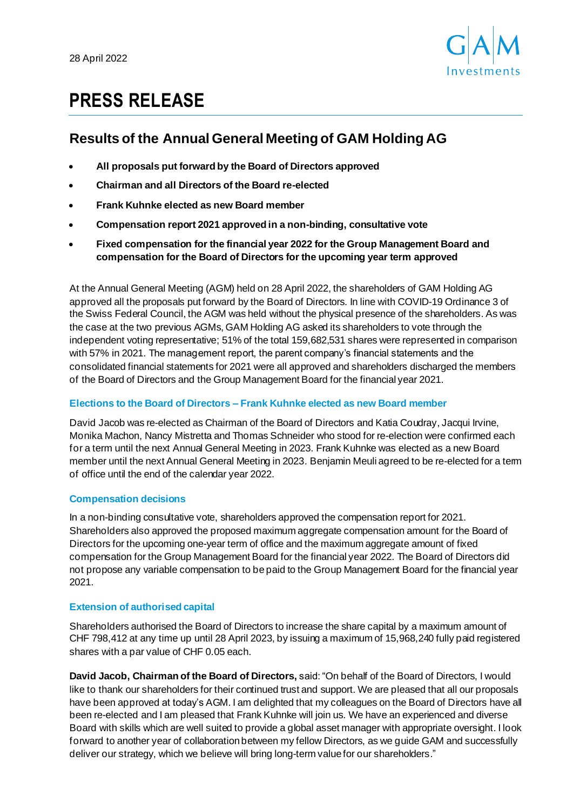

# **PRESS RELEASE**

# **Results of the Annual General Meeting of GAM Holding AG**

- **All proposals put forward by the Board of Directors approved**
- **Chairman and all Directors of the Board re-elected**
- **Frank Kuhnke elected as new Board member**
- **Compensation report 2021 approved in a non-binding, consultative vote**
- **Fixed compensation for the financial year 2022 for the Group Management Board and compensation for the Board of Directors for the upcoming year term approved**

At the Annual General Meeting (AGM) held on 28 April 2022, the shareholders of GAM Holding AG approved all the proposals put forward by the Board of Directors. In line with COVID-19 Ordinance 3 of the Swiss Federal Council, the AGM was held without the physical presence of the shareholders. As was the case at the two previous AGMs, GAM Holding AG asked its shareholders to vote through the independent voting representative; 51% of the total 159,682,531 shares were represented in comparison with 57% in 2021. The management report, the parent company's financial statements and the consolidated financial statements for 2021 were all approved and shareholders discharged the members of the Board of Directors and the Group Management Board for the financial year 2021.

# **Elections to the Board of Directors – Frank Kuhnke elected as new Board member**

David Jacob was re-elected as Chairman of the Board of Directors and Katia Coudray, Jacqui Irvine, Monika Machon, Nancy Mistretta and Thomas Schneider who stood for re-election were confirmed each for a term until the next Annual General Meeting in 2023. Frank Kuhnke was elected as a new Board member until the next Annual General Meeting in 2023. Benjamin Meuli agreed to be re-elected for a term of office until the end of the calendar year 2022.

# **Compensation decisions**

In a non-binding consultative vote, shareholders approved the compensation report for 2021. Shareholders also approved the proposed maximum aggregate compensation amount for the Board of Directors for the upcoming one-year term of office and the maximum aggregate amount of fixed compensation for the Group Management Board for the financial year 2022. The Board of Directors did not propose any variable compensation to be paid to the Group Management Board for the financial year 2021.

# **Extension of authorised capital**

Shareholders authorised the Board of Directors to increase the share capital by a maximum amount of CHF 798,412 at any time up until 28 April 2023, by issuing a maximum of 15,968,240 fully paid registered shares with a par value of CHF 0.05 each.

**David Jacob, Chairman of the Board of Directors,** said: "On behalf of the Board of Directors, I would like to thank our shareholders for their continued trust and support. We are pleased that all our proposals have been approved at today's AGM. I am delighted that my colleagues on the Board of Directors have all been re-elected and I am pleased that Frank Kuhnke will join us. We have an experienced and diverse Board with skills which are well suited to provide a global asset manager with appropriate oversight. I look forward to another year of collaboration between my fellow Directors, as we guide GAM and successfully deliver our strategy, which we believe will bring long-term value for our shareholders."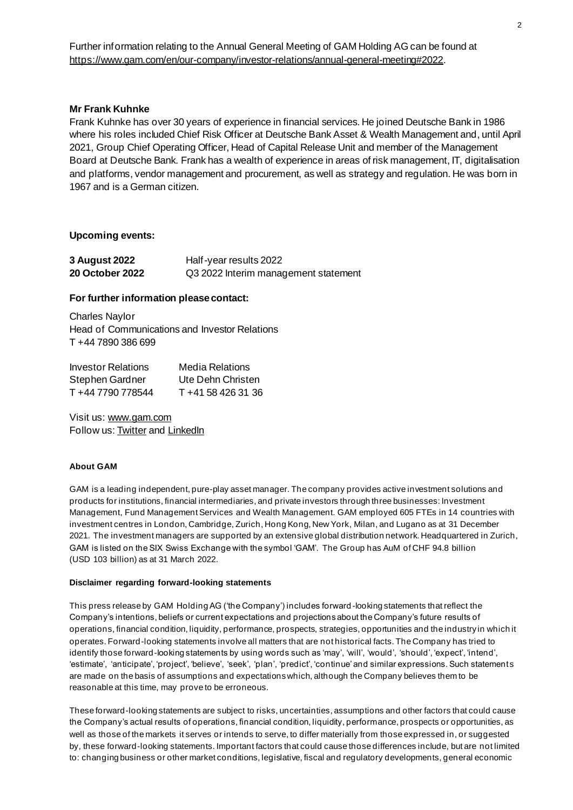# **Mr Frank Kuhnke**

Frank Kuhnke has over 30 years of experience in financial services. He joined Deutsche Bank in 1986 where his roles included Chief Risk Officer at Deutsche Bank Asset & Wealth Management and, until April 2021, Group Chief Operating Officer, Head of Capital Release Unit and member of the Management Board at Deutsche Bank. Frank has a wealth of experience in areas of risk management, IT, digitalisation and platforms, vendor management and procurement, as well as strategy and regulation. He was born in 1967 and is a German citizen.

# **Upcoming events:**

| 3 August 2022          | Half-year results 2022               |
|------------------------|--------------------------------------|
| <b>20 October 2022</b> | Q3 2022 Interim management statement |

# **For further information please contact:**

Charles Naylor Head of Communications and Investor Relations T +44 7890 386 699

| <b>Investor Relations</b> | <b>Media Relations</b> |
|---------------------------|------------------------|
| Stephen Gardner           | Ute Dehn Christen      |
| T +44 7790 778544         | T +41 58 426 31 36     |

Visit us: www.gam.com Follow us: Twitter and LinkedIn

#### **About GAM**

GAM is a leading independent, pure-play asset manager. The company provides active investment solutions and products for institutions, financial intermediaries, and private investors through three businesses: Investment Management, Fund Management Services and Wealth Management. GAM employed 605 FTEs in 14 countries with investment centres in London, Cambridge, Zurich, Hong Kong, New York, Milan, and Lugano as at 31 December 2021. The investment managers are supported by an extensive global distribution network. Headquartered in Zurich, GAM is listed on the SIX Swiss Exchange with the symbol 'GAM'. The Group has AuM of CHF 94.8 billion (USD 103 billion) as at 31 March 2022.

#### **Disclaimer regarding forward-looking statements**

This press release by GAM Holding AG ('the Company') includes forward-looking statements that reflect the Company's intentions, beliefs or current expectations and projections about the Company's future results of operations, financial condition, liquidity, performance, prospects, strategies, opportunities and the industry in which it operates. Forward-looking statements involve all matters that are not historical facts. The Company has tried to identify those forward-looking statements by using words such as 'may', 'will', 'would', 'should', 'expect', 'intend', 'estimate', 'anticipate', 'project', 'believe', 'seek', 'plan', 'predict', 'continue' and similar expressions. Such statements are made on the basis of assumptions and expectations which, although the Company believes them to be reasonable at this time, may prove to be erroneous.

These forward-looking statements are subject to risks, uncertainties, assumptions and other factors that could cause the Company's actual results of operations, financial condition, liquidity, performance, prospects or opportunities, as well as those of the markets it serves or intends to serve, to differ materially from those expressed in, or suggested by, these forward-looking statements. Important factors that could cause those differences include, but are not limited to: changing business or other market conditions, legislative, fiscal and regulatory developments, general economic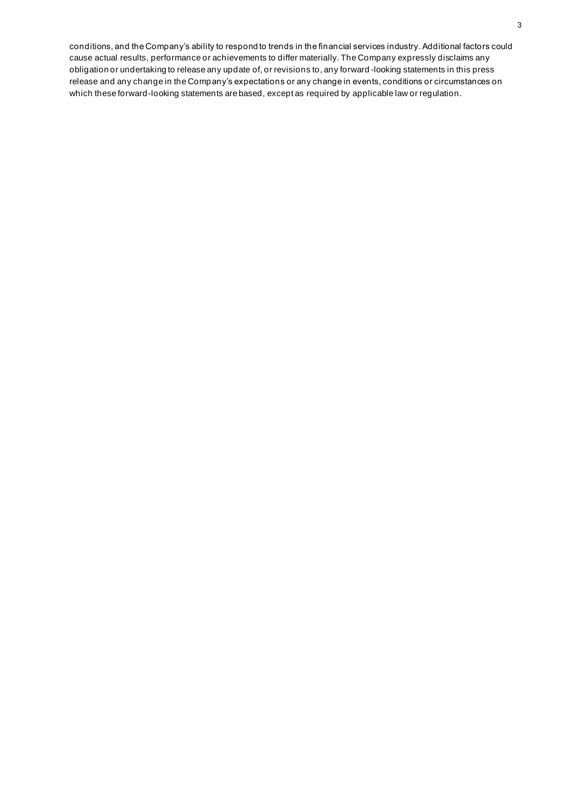conditions, and the Company's ability to respond to trends in the financial services industry. Additional factors could cause actual results, performance or achievements to differ materially. The Company expressly disclaims any obligation or undertaking to release any update of, or revisions to, any forward -looking statements in this press release and any change in the Company's expectations or any change in events, conditions or circumstances on which these forward-looking statements are based, except as required by applicable law or regulation.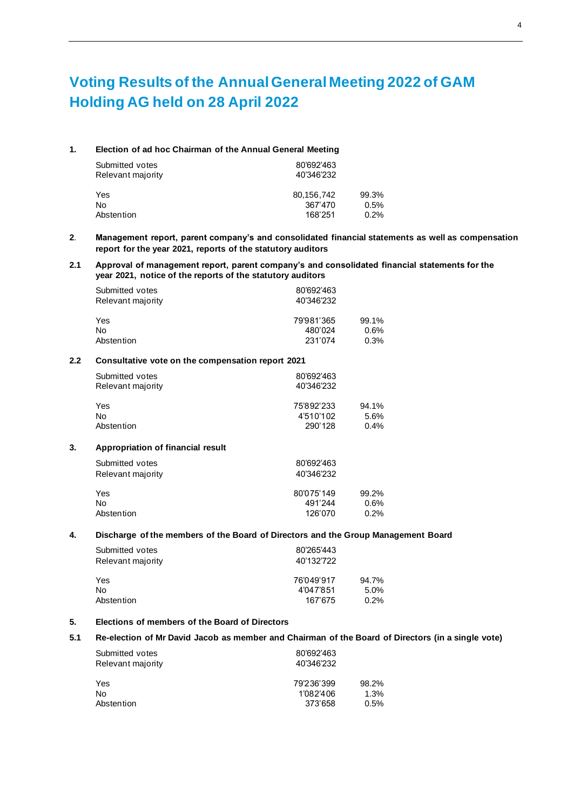# **Voting Results of the Annual General Meeting 2022 of GAM Holding AG held on 28 April 2022**

#### **1. Election of ad hoc Chairman of the Annual General Meeting**

| Submitted votes<br>Relevant majority | 80'692'463<br>40'346'232 |         |
|--------------------------------------|--------------------------|---------|
| Yes                                  | 80,156,742               | 99.3%   |
| No.                                  | 367'470                  | 0.5%    |
| Abstention                           | 168'251                  | $0.2\%$ |

### **2**. **Management report, parent company's and consolidated financial statements as well as compensation report for the year 2021, reports of the statutory auditors**

#### **2.1 Approval of management report, parent company's and consolidated financial statements for the year 2021, notice of the reports of the statutory auditors**

| Submitted votes   | 80'692'463 |       |
|-------------------|------------|-------|
| Relevant majority | 40'346'232 |       |
| Yes               | 79'981'365 | 99.1% |
| No                | 480'024    | 0.6%  |
| Abstention        | 231'074    | 0.3%  |

#### **2.2 Consultative vote on the compensation report 2021**

|            | 75'892'233 | 94.1% |
|------------|------------|-------|
| No.        | 4'510'102  | 5.6%  |
| Abstention | 290'128    | 0.4%  |

| Submitted votes<br>Relevant majority | 80'692'463<br>40'346'232 |       |
|--------------------------------------|--------------------------|-------|
| Yes                                  | 80'075'149               | 99.2% |
| <b>No</b>                            | 491'244                  | 0.6%  |
| Abstention                           | 126'070                  | 0.2%  |

#### **4. Discharge of the members of the Board of Directors and the Group Management Board**

| Submitted votes<br>Relevant majority | 80'265'443<br>40'132'722 |       |
|--------------------------------------|--------------------------|-------|
| Yes                                  | 76'049'917               | 94.7% |
| No.                                  | 4'047'851                | 5.0%  |
| Abstention                           | 167'675                  | 0.2%  |

# **5. Elections of members of the Board of Directors**

#### **5.1 Re-election of Mr David Jacob as member and Chairman of the Board of Directors (in a single vote)**

| Submitted votes<br>Relevant majority | 80'692'463<br>40'346'232 |       |
|--------------------------------------|--------------------------|-------|
| Yes                                  | 79'236'399               | 98.2% |
| No                                   | 1'082'406                | 1.3%  |
| Abstention                           | 373'658                  | 0.5%  |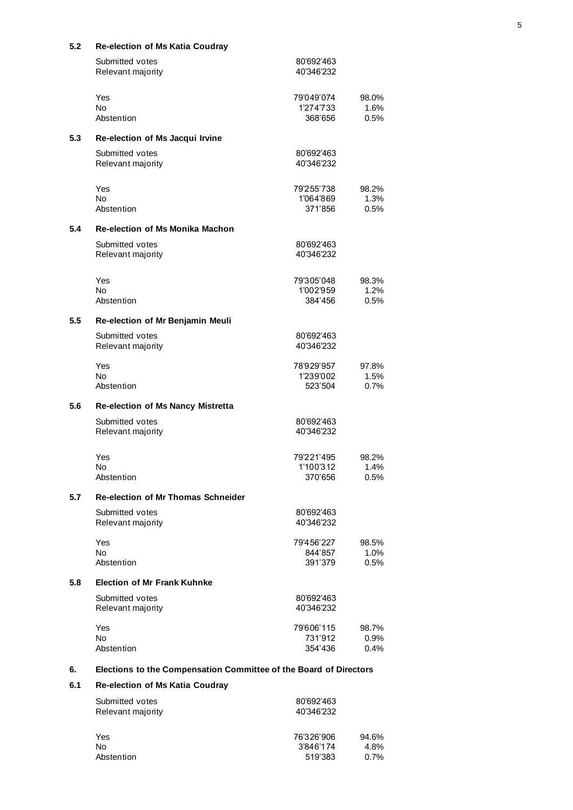| 5.2 | <b>Re-election of Ms Katia Coudray</b>                            |                                    |                       |
|-----|-------------------------------------------------------------------|------------------------------------|-----------------------|
|     | Submitted votes<br>Relevant majority                              | 80'692'463<br>40'346'232           |                       |
|     | Yes<br>No.<br>Abstention                                          | 79'049'074<br>1'274'733<br>368'656 | 98.0%<br>1.6%<br>0.5% |
| 5.3 | Re-election of Ms Jacqui Irvine                                   |                                    |                       |
|     | Submitted votes<br>Relevant majority                              | 80'692'463<br>40'346'232           |                       |
|     | Yes<br>No.<br>Abstention                                          | 79'255'738<br>1'064'869<br>371'856 | 98.2%<br>1.3%<br>0.5% |
| 5.4 | Re-election of Ms Monika Machon                                   |                                    |                       |
|     | Submitted votes<br>Relevant majority                              | 80'692'463<br>40'346'232           |                       |
|     | Yes<br>No.<br>Abstention                                          | 79'305'048<br>1'002'959<br>384'456 | 98.3%<br>1.2%<br>0.5% |
| 5.5 | Re-election of Mr Benjamin Meuli                                  |                                    |                       |
|     | Submitted votes<br>Relevant majority                              | 80'692'463<br>40'346'232           |                       |
|     | Yes<br>No.<br>Abstention                                          | 78'929'957<br>1'239'002<br>523'504 | 97.8%<br>1.5%<br>0.7% |
| 5.6 | Re-election of Ms Nancy Mistretta                                 |                                    |                       |
|     | Submitted votes<br>Relevant majority                              | 80'692'463<br>40'346'232           |                       |
|     | Yes<br>No<br>Abstention                                           | 79'221'495<br>1'100'312<br>370'656 | 98.2%<br>1.4%<br>0.5% |
| 5.7 | <b>Re-election of Mr Thomas Schneider</b>                         |                                    |                       |
|     | Submitted votes<br>Relevant majority                              | 80'692'463<br>40'346'232           |                       |
|     | Yes<br>No.<br>Abstention                                          | 79'456'227<br>844'857<br>391'379   | 98.5%<br>1.0%<br>0.5% |
| 5.8 | <b>Election of Mr Frank Kuhnke</b>                                |                                    |                       |
|     | Submitted votes<br>Relevant majority                              | 80'692'463<br>40'346'232           |                       |
|     | Yes<br>No.<br>Abstention                                          | 79'606'115<br>731'912<br>354'436   | 98.7%<br>0.9%<br>0.4% |
| 6.  | Elections to the Compensation Committee of the Board of Directors |                                    |                       |
| 6.1 | <b>Re-election of Ms Katia Coudray</b>                            |                                    |                       |
|     | Submitted votes<br>Relevant majority                              | 80'692'463<br>40'346'232           |                       |

| Yes        | 76'326'906 | 94.6% |
|------------|------------|-------|
| No         | 3'846'174  | 4.8%  |
| Abstention | 519'383    | 0.7%  |
|            |            |       |